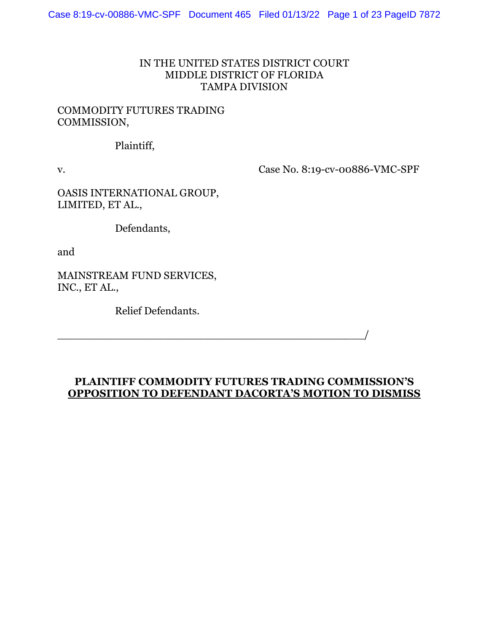#### IN THE UNITED STATES DISTRICT COURT MIDDLE DISTRICT OF FLORIDA TAMPA DIVISION

#### COMMODITY FUTURES TRADING COMMISSION,

#### Plaintiff,

v. Case No. 8:19-cv-00886-VMC-SPF

OASIS INTERNATIONAL GROUP, LIMITED, ET AL.,

Defendants,

and

MAINSTREAM FUND SERVICES, INC., ET AL.,

Relief Defendants.

### **PLAINTIFF COMMODITY FUTURES TRADING COMMISSION'S OPPOSITION TO DEFENDANT DACORTA'S MOTION TO DISMISS**

\_\_\_\_\_\_\_\_\_\_\_\_\_\_\_\_\_\_\_\_\_\_\_\_\_\_\_\_\_\_\_\_\_\_\_\_\_\_\_\_\_\_\_\_\_\_/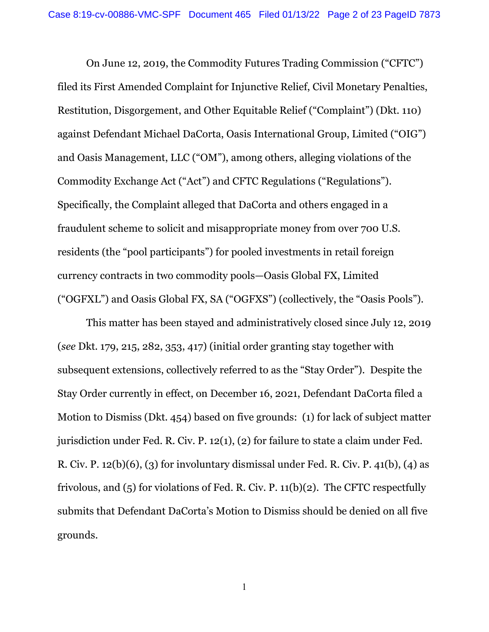On June 12, 2019, the Commodity Futures Trading Commission ("CFTC") filed its First Amended Complaint for Injunctive Relief, Civil Monetary Penalties, Restitution, Disgorgement, and Other Equitable Relief ("Complaint") (Dkt. 110) against Defendant Michael DaCorta, Oasis International Group, Limited ("OIG") and Oasis Management, LLC ("OM"), among others, alleging violations of the Commodity Exchange Act ("Act") and CFTC Regulations ("Regulations"). Specifically, the Complaint alleged that DaCorta and others engaged in a fraudulent scheme to solicit and misappropriate money from over 700 U.S. residents (the "pool participants") for pooled investments in retail foreign currency contracts in two commodity pools—Oasis Global FX, Limited ("OGFXL") and Oasis Global FX, SA ("OGFXS") (collectively, the "Oasis Pools").

This matter has been stayed and administratively closed since July 12, 2019 (*see* Dkt. 179, 215, 282, 353, 417) (initial order granting stay together with subsequent extensions, collectively referred to as the "Stay Order"). Despite the Stay Order currently in effect, on December 16, 2021, Defendant DaCorta filed a Motion to Dismiss (Dkt. 454) based on five grounds: (1) for lack of subject matter jurisdiction under Fed. R. Civ. P. 12(1), (2) for failure to state a claim under Fed. R. Civ. P.  $12(b)(6)$ , (3) for involuntary dismissal under Fed. R. Civ. P.  $41(b)$ , (4) as frivolous, and (5) for violations of Fed. R. Civ. P. 11(b)(2). The CFTC respectfully submits that Defendant DaCorta's Motion to Dismiss should be denied on all five grounds.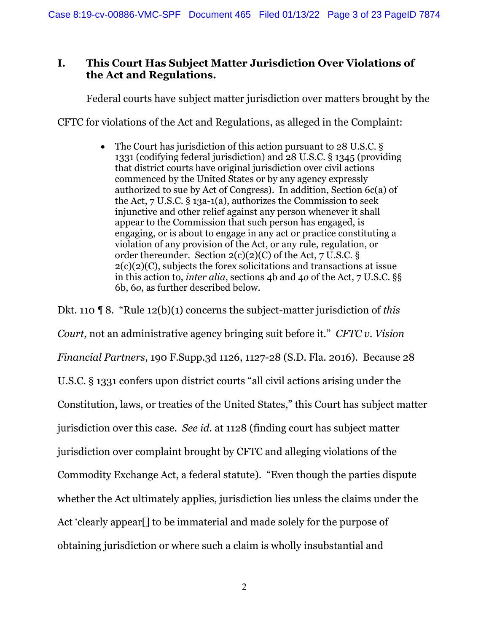### **I. This Court Has Subject Matter Jurisdiction Over Violations of the Act and Regulations.**

Federal courts have subject matter jurisdiction over matters brought by the

CFTC for violations of the Act and Regulations, as alleged in the Complaint:

• The Court has jurisdiction of this action pursuant to 28 U.S.C. § 1331 (codifying federal jurisdiction) and 28 U.S.C. § 1345 (providing that district courts have original jurisdiction over civil actions commenced by the United States or by any agency expressly authorized to sue by Act of Congress). In addition, Section 6c(a) of the Act, 7 U.S.C. § 13a-1(a), authorizes the Commission to seek injunctive and other relief against any person whenever it shall appear to the Commission that such person has engaged, is engaging, or is about to engage in any act or practice constituting a violation of any provision of the Act, or any rule, regulation, or order thereunder. Section  $2(c)(2)(C)$  of the Act, 7 U.S.C. §  $2(c)(2)(C)$ , subjects the forex solicitations and transactions at issue in this action to, *inter alia*, sections 4b and 4*o* of the Act, 7 U.S.C. §§ 6b, 6*o*, as further described below.

Dkt. 110 ¶ 8. "Rule 12(b)(1) concerns the subject-matter jurisdiction of *this Court*, not an administrative agency bringing suit before it." *CFTC v. Vision Financial Partners*, 190 F.Supp.3d 1126, 1127-28 (S.D. Fla. 2016). Because 28 U.S.C. § 1331 confers upon district courts "all civil actions arising under the Constitution, laws, or treaties of the United States," this Court has subject matter jurisdiction over this case. *See id*. at 1128 (finding court has subject matter jurisdiction over complaint brought by CFTC and alleging violations of the Commodity Exchange Act, a federal statute). "Even though the parties dispute whether the Act ultimately applies, jurisdiction lies unless the claims under the Act 'clearly appear[] to be immaterial and made solely for the purpose of obtaining jurisdiction or where such a claim is wholly insubstantial and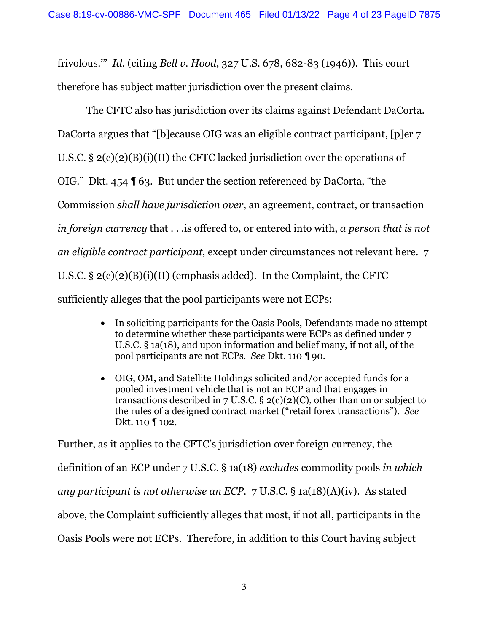frivolous.'" *Id*. (citing *Bell v. Hood*, 327 U.S. 678, 682-83 (1946)). This court therefore has subject matter jurisdiction over the present claims.

The CFTC also has jurisdiction over its claims against Defendant DaCorta. DaCorta argues that "[b]ecause OIG was an eligible contract participant, [p]er 7 U.S.C.  $\S 2(c)(2)(B)(i)(II)$  the CFTC lacked jurisdiction over the operations of OIG." Dkt. 454 ¶ 63. But under the section referenced by DaCorta, "the Commission *shall have jurisdiction over*, an agreement, contract, or transaction *in foreign currency* that . . .is offered to, or entered into with, *a person that is not an eligible contract participant*, except under circumstances not relevant here. 7 U.S.C.  $\S 2(c)(2)(B)(i)(II)$  (emphasis added). In the Complaint, the CFTC sufficiently alleges that the pool participants were not ECPs:

- In soliciting participants for the Oasis Pools, Defendants made no attempt to determine whether these participants were ECPs as defined under 7 U.S.C. § 1a(18), and upon information and belief many, if not all, of the pool participants are not ECPs. *See* Dkt. 110 ¶ 90.
- OIG, OM, and Satellite Holdings solicited and/or accepted funds for a pooled investment vehicle that is not an ECP and that engages in transactions described in 7 U.S.C. §  $2(c)(2)(C)$ , other than on or subject to the rules of a designed contract market ("retail forex transactions"). *See* Dkt. 110 ¶ 102.

Further, as it applies to the CFTC's jurisdiction over foreign currency, the definition of an ECP under 7 U.S.C. § 1a(18) *excludes* commodity pools *in which any participant is not otherwise an ECP*. 7 U.S.C. § 1a(18)(A)(iv). As stated above, the Complaint sufficiently alleges that most, if not all, participants in the Oasis Pools were not ECPs. Therefore, in addition to this Court having subject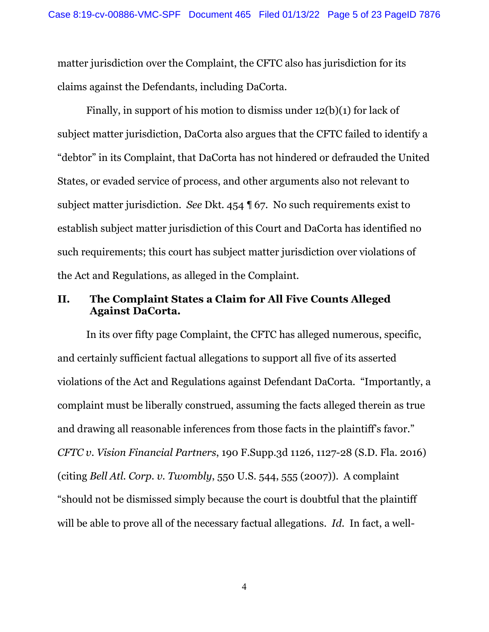matter jurisdiction over the Complaint, the CFTC also has jurisdiction for its claims against the Defendants, including DaCorta.

Finally, in support of his motion to dismiss under 12(b)(1) for lack of subject matter jurisdiction, DaCorta also argues that the CFTC failed to identify a "debtor" in its Complaint, that DaCorta has not hindered or defrauded the United States, or evaded service of process, and other arguments also not relevant to subject matter jurisdiction. *See* Dkt. 454 ¶ 67. No such requirements exist to establish subject matter jurisdiction of this Court and DaCorta has identified no such requirements; this court has subject matter jurisdiction over violations of the Act and Regulations, as alleged in the Complaint.

#### **II. The Complaint States a Claim for All Five Counts Alleged Against DaCorta.**

In its over fifty page Complaint, the CFTC has alleged numerous, specific, and certainly sufficient factual allegations to support all five of its asserted violations of the Act and Regulations against Defendant DaCorta. "Importantly, a complaint must be liberally construed, assuming the facts alleged therein as true and drawing all reasonable inferences from those facts in the plaintiff's favor." *CFTC v. Vision Financial Partners*, 190 F.Supp.3d 1126, 1127-28 (S.D. Fla. 2016) (citing *Bell Atl. Corp. v. Twombly*, 550 U.S. 544, 555 (2007)). A complaint "should not be dismissed simply because the court is doubtful that the plaintiff will be able to prove all of the necessary factual allegations. *Id*. In fact, a well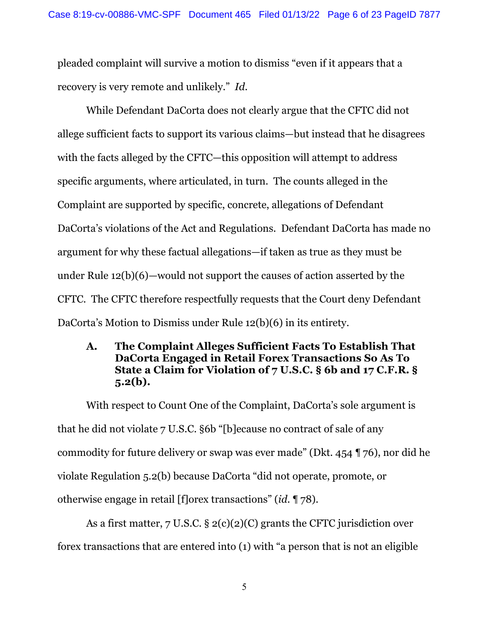pleaded complaint will survive a motion to dismiss "even if it appears that a recovery is very remote and unlikely." *Id*.

While Defendant DaCorta does not clearly argue that the CFTC did not allege sufficient facts to support its various claims—but instead that he disagrees with the facts alleged by the CFTC—this opposition will attempt to address specific arguments, where articulated, in turn. The counts alleged in the Complaint are supported by specific, concrete, allegations of Defendant DaCorta's violations of the Act and Regulations. Defendant DaCorta has made no argument for why these factual allegations—if taken as true as they must be under Rule 12(b)(6)—would not support the causes of action asserted by the CFTC. The CFTC therefore respectfully requests that the Court deny Defendant DaCorta's Motion to Dismiss under Rule 12(b)(6) in its entirety.

## **A. The Complaint Alleges Sufficient Facts To Establish That DaCorta Engaged in Retail Forex Transactions So As To State a Claim for Violation of 7 U.S.C. § 6b and 17 C.F.R. § 5.2(b).**

With respect to Count One of the Complaint, DaCorta's sole argument is that he did not violate 7 U.S.C. §6b "[b]ecause no contract of sale of any commodity for future delivery or swap was ever made" (Dkt. 454 ¶ 76), nor did he violate Regulation 5.2(b) because DaCorta "did not operate, promote, or otherwise engage in retail [f]orex transactions" (*id*. ¶ 78).

As a first matter, 7 U.S.C. § 2(c)(2)(C) grants the CFTC jurisdiction over forex transactions that are entered into (1) with "a person that is not an eligible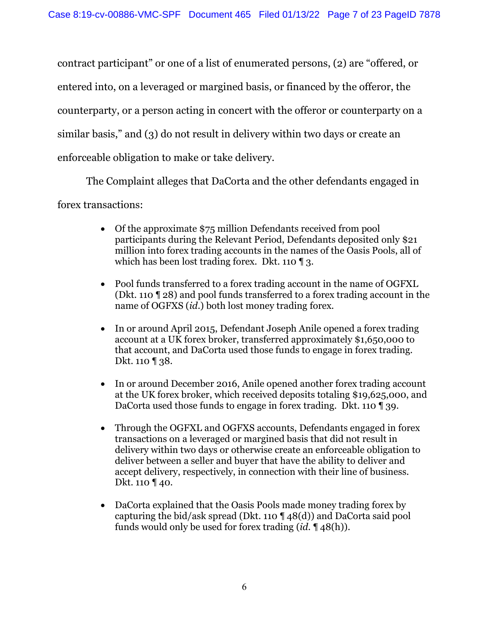contract participant" or one of a list of enumerated persons, (2) are "offered, or entered into, on a leveraged or margined basis, or financed by the offeror, the counterparty, or a person acting in concert with the offeror or counterparty on a similar basis," and (3) do not result in delivery within two days or create an enforceable obligation to make or take delivery.

The Complaint alleges that DaCorta and the other defendants engaged in forex transactions:

- Of the approximate \$75 million Defendants received from pool participants during the Relevant Period, Defendants deposited only \$21 million into forex trading accounts in the names of the Oasis Pools, all of which has been lost trading forex. Dkt. 110 ¶ 3.
- Pool funds transferred to a forex trading account in the name of OGFXL (Dkt. 110 ¶ 28) and pool funds transferred to a forex trading account in the name of OGFXS (*id*.) both lost money trading forex.
- In or around April 2015, Defendant Joseph Anile opened a forex trading account at a UK forex broker, transferred approximately \$1,650,000 to that account, and DaCorta used those funds to engage in forex trading. Dkt. 110 | 38.
- In or around December 2016, Anile opened another forex trading account at the UK forex broker, which received deposits totaling \$19,625,000, and DaCorta used those funds to engage in forex trading. Dkt. 110 ¶ 39.
- Through the OGFXL and OGFXS accounts, Defendants engaged in forex transactions on a leveraged or margined basis that did not result in delivery within two days or otherwise create an enforceable obligation to deliver between a seller and buyer that have the ability to deliver and accept delivery, respectively, in connection with their line of business. Dkt. 110 ¶ 40.
- DaCorta explained that the Oasis Pools made money trading forex by capturing the bid/ask spread (Dkt. 110 ¶ 48(d)) and DaCorta said pool funds would only be used for forex trading (*id*. ¶ 48(h)).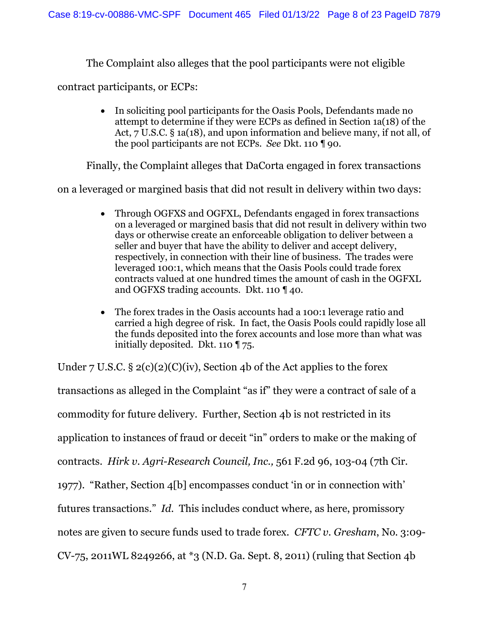The Complaint also alleges that the pool participants were not eligible

contract participants, or ECPs:

• In soliciting pool participants for the Oasis Pools, Defendants made no attempt to determine if they were ECPs as defined in Section 1a(18) of the Act, 7 U.S.C. § 1a(18), and upon information and believe many, if not all, of the pool participants are not ECPs. *See* Dkt. 110 ¶ 90.

Finally, the Complaint alleges that DaCorta engaged in forex transactions

on a leveraged or margined basis that did not result in delivery within two days:

- Through OGFXS and OGFXL, Defendants engaged in forex transactions on a leveraged or margined basis that did not result in delivery within two days or otherwise create an enforceable obligation to deliver between a seller and buyer that have the ability to deliver and accept delivery, respectively, in connection with their line of business. The trades were leveraged 100:1, which means that the Oasis Pools could trade forex contracts valued at one hundred times the amount of cash in the OGFXL and OGFXS trading accounts. Dkt. 110 ¶ 40.
- The forex trades in the Oasis accounts had a 100:1 leverage ratio and carried a high degree of risk. In fact, the Oasis Pools could rapidly lose all the funds deposited into the forex accounts and lose more than what was initially deposited. Dkt. 110 ¶ 75.

Under 7 U.S.C.  $\S 2(c)(2)(C)(iv)$ , Section 4b of the Act applies to the forex

transactions as alleged in the Complaint "as if" they were a contract of sale of a commodity for future delivery. Further, Section 4b is not restricted in its application to instances of fraud or deceit "in" orders to make or the making of contracts. *Hirk v. Agri-Research Council, Inc.,* 561 F.2d 96, 103-04 (7th Cir. 1977). "Rather, Section 4[b] encompasses conduct 'in or in connection with' futures transactions." *Id*. This includes conduct where, as here, promissory notes are given to secure funds used to trade forex. *CFTC v. Gresham*, No. 3:09- CV-75, 2011WL 8249266, at \*3 (N.D. Ga. Sept. 8, 2011) (ruling that Section 4b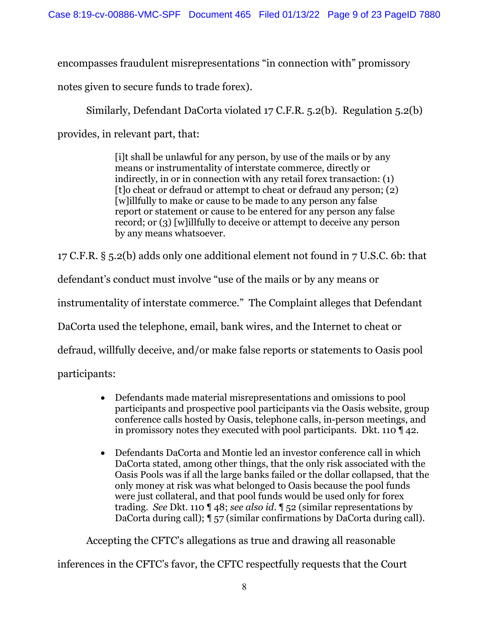encompasses fraudulent misrepresentations "in connection with" promissory

notes given to secure funds to trade forex).

Similarly, Defendant DaCorta violated 17 C.F.R. 5.2(b). Regulation 5.2(b)

provides, in relevant part, that:

[i]t shall be unlawful for any person, by use of the mails or by any means or instrumentality of interstate commerce, directly or indirectly, in or in connection with any retail forex transaction: (1) [t]o cheat or defraud or attempt to cheat or defraud any person; (2) [w]illfully to make or cause to be made to any person any false report or statement or cause to be entered for any person any false record; or (3) [w]illfully to deceive or attempt to deceive any person by any means whatsoever.

17 C.F.R. § 5.2(b) adds only one additional element not found in 7 U.S.C. 6b: that

defendant's conduct must involve "use of the mails or by any means or

instrumentality of interstate commerce." The Complaint alleges that Defendant

DaCorta used the telephone, email, bank wires, and the Internet to cheat or

defraud, willfully deceive, and/or make false reports or statements to Oasis pool

participants:

- Defendants made material misrepresentations and omissions to pool participants and prospective pool participants via the Oasis website, group conference calls hosted by Oasis, telephone calls, in-person meetings, and in promissory notes they executed with pool participants. Dkt. 110 ¶ 42.
- Defendants DaCorta and Montie led an investor conference call in which DaCorta stated, among other things, that the only risk associated with the Oasis Pools was if all the large banks failed or the dollar collapsed, that the only money at risk was what belonged to Oasis because the pool funds were just collateral, and that pool funds would be used only for forex trading. *See* Dkt. 110 ¶ 48; *see also id*. ¶ 52 (similar representations by DaCorta during call); ¶ 57 (similar confirmations by DaCorta during call).

Accepting the CFTC's allegations as true and drawing all reasonable

inferences in the CFTC's favor, the CFTC respectfully requests that the Court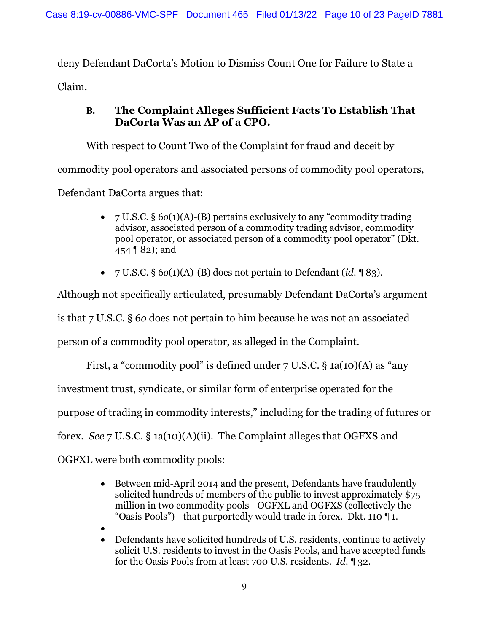deny Defendant DaCorta's Motion to Dismiss Count One for Failure to State a Claim.

## **B. The Complaint Alleges Sufficient Facts To Establish That DaCorta Was an AP of a CPO.**

With respect to Count Two of the Complaint for fraud and deceit by commodity pool operators and associated persons of commodity pool operators, Defendant DaCorta argues that:

- 7 U.S.C. § 6*o*(1)(A)-(B) pertains exclusively to any "commodity trading advisor, associated person of a commodity trading advisor, commodity pool operator, or associated person of a commodity pool operator" (Dkt. 454 ¶ 82); and
- 7 U.S.C. § 6*o*(1)(A)-(B) does not pertain to Defendant (*id*. ¶ 83).

Although not specifically articulated, presumably Defendant DaCorta's argument

is that 7 U.S.C. § 6*o* does not pertain to him because he was not an associated

person of a commodity pool operator, as alleged in the Complaint.

First, a "commodity pool" is defined under 7 U.S.C. § 1a(10)(A) as "any investment trust, syndicate, or similar form of enterprise operated for the purpose of trading in commodity interests," including for the trading of futures or forex. *See* 7 U.S.C. § 1a(10)(A)(ii). The Complaint alleges that OGFXS and OGFXL were both commodity pools:

- Between mid-April 2014 and the present, Defendants have fraudulently solicited hundreds of members of the public to invest approximately \$75 million in two commodity pools—OGFXL and OGFXS (collectively the "Oasis Pools")—that purportedly would trade in forex. Dkt. 110 ¶ 1.
- •
- Defendants have solicited hundreds of U.S. residents, continue to actively solicit U.S. residents to invest in the Oasis Pools, and have accepted funds for the Oasis Pools from at least 700 U.S. residents. *Id*. ¶ 32.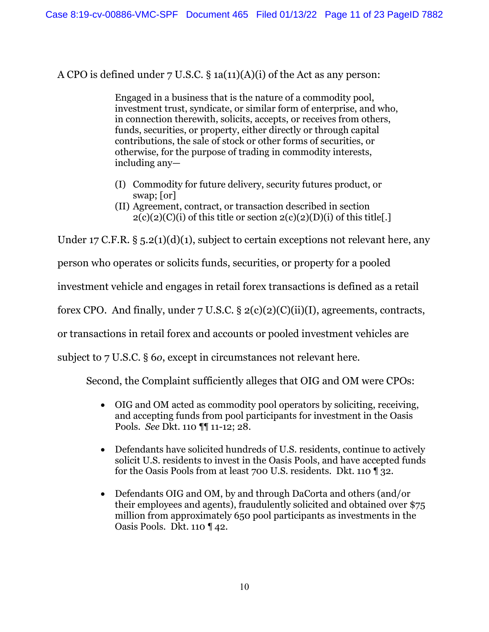A CPO is defined under  $7 \text{ U.S.C.}$  § 1a(11)(A)(i) of the Act as any person:

Engaged in a business that is the nature of a commodity pool, investment trust, syndicate, or similar form of enterprise, and who, in connection therewith, solicits, accepts, or receives from others, funds, securities, or property, either directly or through capital contributions, the sale of stock or other forms of securities, or otherwise, for the purpose of trading in commodity interests, including any—

- (I) Commodity for future delivery, security futures product, or swap; [or]
- (II) Agreement, contract, or transaction described in section  $2(c)(2)(C)(i)$  of this title or section  $2(c)(2)(D)(i)$  of this title.

Under 17 C.F.R.  $\S$  5.2(1)(d)(1), subject to certain exceptions not relevant here, any

person who operates or solicits funds, securities, or property for a pooled

investment vehicle and engages in retail forex transactions is defined as a retail

forex CPO. And finally, under  $7 \text{ U.S.C.}$  §  $2(c)(2)(c)(ii)(I)$ , agreements, contracts,

or transactions in retail forex and accounts or pooled investment vehicles are

subject to 7 U.S.C. § 6*o*, except in circumstances not relevant here.

Second, the Complaint sufficiently alleges that OIG and OM were CPOs:

- OIG and OM acted as commodity pool operators by soliciting, receiving, and accepting funds from pool participants for investment in the Oasis Pools. *See* Dkt. 110 ¶¶ 11-12; 28.
- Defendants have solicited hundreds of U.S. residents, continue to actively solicit U.S. residents to invest in the Oasis Pools, and have accepted funds for the Oasis Pools from at least 700 U.S. residents. Dkt. 110 ¶ 32.
- Defendants OIG and OM, by and through DaCorta and others (and/or their employees and agents), fraudulently solicited and obtained over \$75 million from approximately 650 pool participants as investments in the Oasis Pools. Dkt. 110 ¶ 42.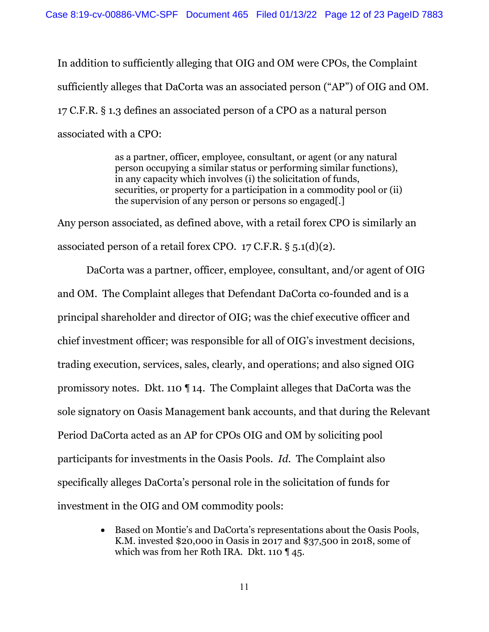In addition to sufficiently alleging that OIG and OM were CPOs, the Complaint sufficiently alleges that DaCorta was an associated person ("AP") of OIG and OM. 17 C.F.R. § 1.3 defines an associated person of a CPO as a natural person associated with a CPO:

> as a partner, officer, employee, consultant, or agent (or any natural person occupying a similar status or performing similar functions), in any capacity which involves (i) the solicitation of funds, securities, or property for a participation in a commodity pool or (ii) the supervision of any person or persons so engaged[.]

Any person associated, as defined above, with a retail forex CPO is similarly an associated person of a retail forex CPO.  $17$  C.F.R. § 5.1(d)(2).

DaCorta was a partner, officer, employee, consultant, and/or agent of OIG and OM. The Complaint alleges that Defendant DaCorta co-founded and is a principal shareholder and director of OIG; was the chief executive officer and chief investment officer; was responsible for all of OIG's investment decisions, trading execution, services, sales, clearly, and operations; and also signed OIG promissory notes. Dkt. 110 ¶ 14. The Complaint alleges that DaCorta was the sole signatory on Oasis Management bank accounts, and that during the Relevant Period DaCorta acted as an AP for CPOs OIG and OM by soliciting pool participants for investments in the Oasis Pools. *Id*. The Complaint also specifically alleges DaCorta's personal role in the solicitation of funds for investment in the OIG and OM commodity pools:

> • Based on Montie's and DaCorta's representations about the Oasis Pools, K.M. invested \$20,000 in Oasis in 2017 and \$37,500 in 2018, some of which was from her Roth IRA. Dkt. 110 ¶ 45.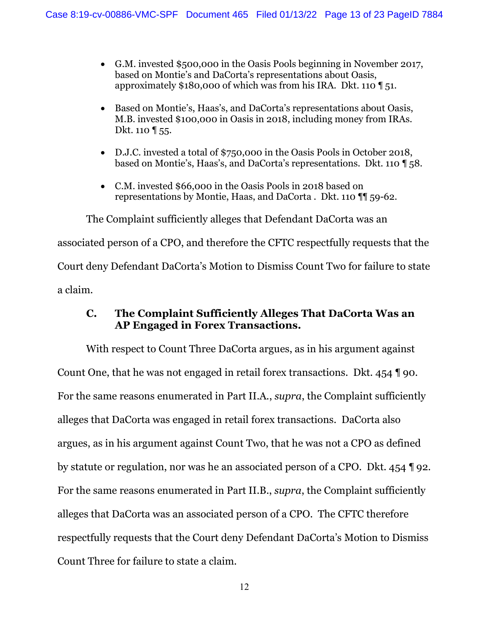- G.M. invested \$500,000 in the Oasis Pools beginning in November 2017, based on Montie's and DaCorta's representations about Oasis, approximately \$180,000 of which was from his IRA. Dkt. 110 ¶ 51.
- Based on Montie's, Haas's, and DaCorta's representations about Oasis, M.B. invested \$100,000 in Oasis in 2018, including money from IRAs. Dkt. 110 **[** 55.
- D.J.C. invested a total of \$750,000 in the Oasis Pools in October 2018, based on Montie's, Haas's, and DaCorta's representations. Dkt. 110 ¶ 58.
- C.M. invested \$66,000 in the Oasis Pools in 2018 based on representations by Montie, Haas, and DaCorta . Dkt. 110 ¶¶ 59-62.

The Complaint sufficiently alleges that Defendant DaCorta was an associated person of a CPO, and therefore the CFTC respectfully requests that the Court deny Defendant DaCorta's Motion to Dismiss Count Two for failure to state a claim.

## **C. The Complaint Sufficiently Alleges That DaCorta Was an AP Engaged in Forex Transactions.**

With respect to Count Three DaCorta argues, as in his argument against Count One, that he was not engaged in retail forex transactions. Dkt. 454 ¶ 90. For the same reasons enumerated in Part II.A., *supra*, the Complaint sufficiently alleges that DaCorta was engaged in retail forex transactions. DaCorta also argues, as in his argument against Count Two, that he was not a CPO as defined by statute or regulation, nor was he an associated person of a CPO. Dkt. 454 ¶ 92. For the same reasons enumerated in Part II.B., *supra*, the Complaint sufficiently alleges that DaCorta was an associated person of a CPO. The CFTC therefore respectfully requests that the Court deny Defendant DaCorta's Motion to Dismiss Count Three for failure to state a claim.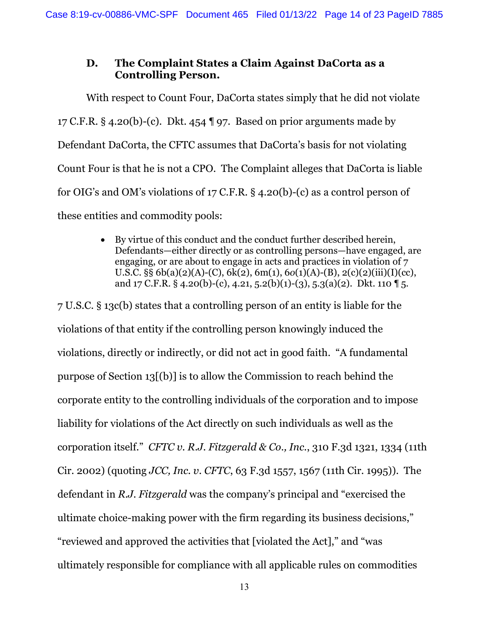### **D. The Complaint States a Claim Against DaCorta as a Controlling Person.**

With respect to Count Four, DaCorta states simply that he did not violate 17 C.F.R.  $\S$  4.20(b)-(c). Dkt. 454  $\P$  97. Based on prior arguments made by Defendant DaCorta, the CFTC assumes that DaCorta's basis for not violating Count Four is that he is not a CPO. The Complaint alleges that DaCorta is liable for OIG's and OM's violations of 17 C.F.R. § 4.20(b)-(c) as a control person of these entities and commodity pools:

> • By virtue of this conduct and the conduct further described herein, Defendants—either directly or as controlling persons—have engaged, are engaging, or are about to engage in acts and practices in violation of 7 U.S.C. §§ 6b(a)(2)(A)-(C), 6k(2), 6m(1), 6*o*(1)(A)-(B), 2(c)(2)(iii)(I)(cc), and  $17 \text{ C.F.R. }$  § 4.20(b)-(c), 4.21, 5.2(b)(1)-(3), 5.3(a)(2). Dkt. 110  $\text{T}$  5.

7 U.S.C. § 13c(b) states that a controlling person of an entity is liable for the violations of that entity if the controlling person knowingly induced the violations, directly or indirectly, or did not act in good faith. "A fundamental purpose of Section 13[(b)] is to allow the Commission to reach behind the corporate entity to the controlling individuals of the corporation and to impose liability for violations of the Act directly on such individuals as well as the corporation itself." *CFTC v. R.J. Fitzgerald & Co., Inc.*, 310 F.3d 1321, 1334 (11th Cir. 2002) (quoting *JCC, Inc. v. CFTC*, 63 F.3d 1557, 1567 (11th Cir. 1995)). The defendant in *R.J. Fitzgerald* was the company's principal and "exercised the ultimate choice-making power with the firm regarding its business decisions," "reviewed and approved the activities that [violated the Act]," and "was ultimately responsible for compliance with all applicable rules on commodities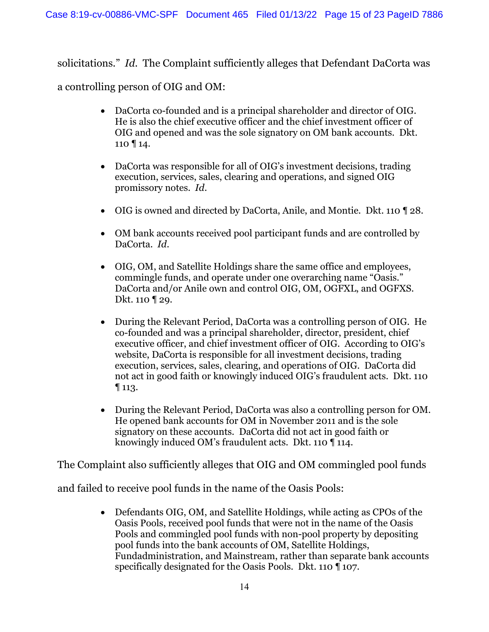solicitations." *Id*. The Complaint sufficiently alleges that Defendant DaCorta was a controlling person of OIG and OM:

- DaCorta co-founded and is a principal shareholder and director of OIG. He is also the chief executive officer and the chief investment officer of OIG and opened and was the sole signatory on OM bank accounts. Dkt. 110 ¶ 14.
- DaCorta was responsible for all of OIG's investment decisions, trading execution, services, sales, clearing and operations, and signed OIG promissory notes. *Id*.
- OIG is owned and directed by DaCorta, Anile, and Montie. Dkt. 110 ¶ 28.
- OM bank accounts received pool participant funds and are controlled by DaCorta. *Id*.
- OIG, OM, and Satellite Holdings share the same office and employees, commingle funds, and operate under one overarching name "Oasis." DaCorta and/or Anile own and control OIG, OM, OGFXL, and OGFXS. Dkt. 110 ¶ 29.
- During the Relevant Period, DaCorta was a controlling person of OIG. He co-founded and was a principal shareholder, director, president, chief executive officer, and chief investment officer of OIG. According to OIG's website, DaCorta is responsible for all investment decisions, trading execution, services, sales, clearing, and operations of OIG. DaCorta did not act in good faith or knowingly induced OIG's fraudulent acts. Dkt. 110 ¶ 113.
- During the Relevant Period, DaCorta was also a controlling person for OM. He opened bank accounts for OM in November 2011 and is the sole signatory on these accounts. DaCorta did not act in good faith or knowingly induced OM's fraudulent acts. Dkt. 110 ¶ 114.

The Complaint also sufficiently alleges that OIG and OM commingled pool funds

and failed to receive pool funds in the name of the Oasis Pools:

• Defendants OIG, OM, and Satellite Holdings, while acting as CPOs of the Oasis Pools, received pool funds that were not in the name of the Oasis Pools and commingled pool funds with non-pool property by depositing pool funds into the bank accounts of OM, Satellite Holdings, Fundadministration, and Mainstream, rather than separate bank accounts specifically designated for the Oasis Pools. Dkt. 110 ¶ 107.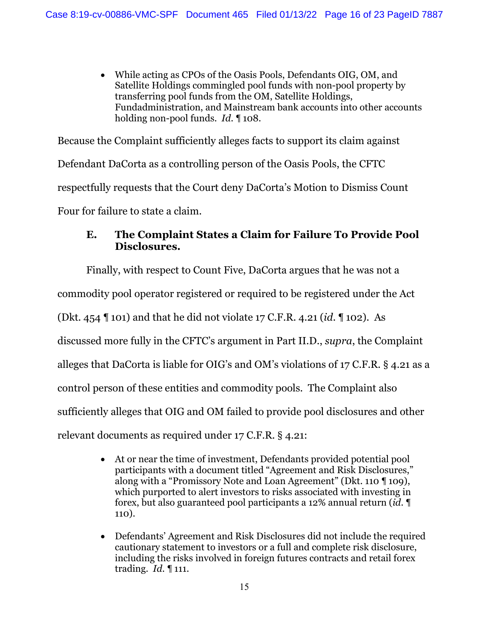• While acting as CPOs of the Oasis Pools, Defendants OIG, OM, and Satellite Holdings commingled pool funds with non-pool property by transferring pool funds from the OM, Satellite Holdings, Fundadministration, and Mainstream bank accounts into other accounts holding non-pool funds. *Id*. ¶ 108.

Because the Complaint sufficiently alleges facts to support its claim against Defendant DaCorta as a controlling person of the Oasis Pools, the CFTC respectfully requests that the Court deny DaCorta's Motion to Dismiss Count Four for failure to state a claim.

## **E. The Complaint States a Claim for Failure To Provide Pool Disclosures.**

 Finally, with respect to Count Five, DaCorta argues that he was not a commodity pool operator registered or required to be registered under the Act (Dkt. 454 ¶ 101) and that he did not violate 17 C.F.R. 4.21 (*id*. ¶ 102). As discussed more fully in the CFTC's argument in Part II.D., *supra*, the Complaint alleges that DaCorta is liable for OIG's and OM's violations of 17 C.F.R. § 4.21 as a control person of these entities and commodity pools. The Complaint also sufficiently alleges that OIG and OM failed to provide pool disclosures and other relevant documents as required under 17 C.F.R. § 4.21:

- At or near the time of investment, Defendants provided potential pool participants with a document titled "Agreement and Risk Disclosures," along with a "Promissory Note and Loan Agreement" (Dkt. 110 ¶ 109), which purported to alert investors to risks associated with investing in forex, but also guaranteed pool participants a 12% annual return (*id*. ¶ 110).
- Defendants' Agreement and Risk Disclosures did not include the required cautionary statement to investors or a full and complete risk disclosure, including the risks involved in foreign futures contracts and retail forex trading. *Id*. ¶ 111.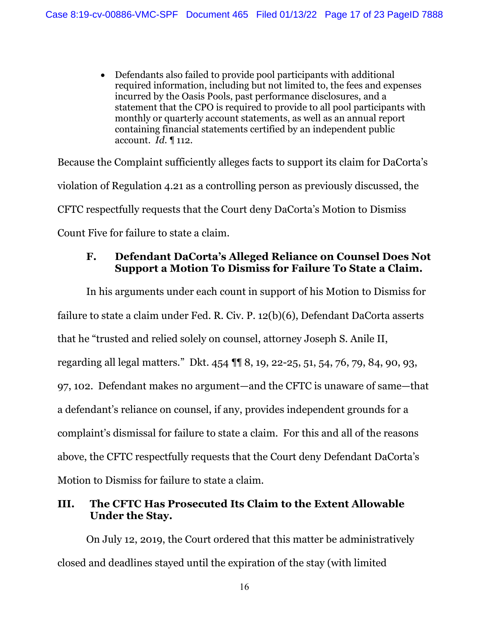• Defendants also failed to provide pool participants with additional required information, including but not limited to, the fees and expenses incurred by the Oasis Pools, past performance disclosures, and a statement that the CPO is required to provide to all pool participants with monthly or quarterly account statements, as well as an annual report containing financial statements certified by an independent public account. *Id*. ¶ 112.

Because the Complaint sufficiently alleges facts to support its claim for DaCorta's violation of Regulation 4.21 as a controlling person as previously discussed, the CFTC respectfully requests that the Court deny DaCorta's Motion to Dismiss Count Five for failure to state a claim.

## **F. Defendant DaCorta's Alleged Reliance on Counsel Does Not Support a Motion To Dismiss for Failure To State a Claim.**

In his arguments under each count in support of his Motion to Dismiss for failure to state a claim under Fed. R. Civ. P. 12(b)(6), Defendant DaCorta asserts that he "trusted and relied solely on counsel, attorney Joseph S. Anile II, regarding all legal matters." Dkt. 454 ¶¶ 8, 19, 22-25, 51, 54, 76, 79, 84, 90, 93, 97, 102. Defendant makes no argument—and the CFTC is unaware of same—that a defendant's reliance on counsel, if any, provides independent grounds for a complaint's dismissal for failure to state a claim. For this and all of the reasons above, the CFTC respectfully requests that the Court deny Defendant DaCorta's Motion to Dismiss for failure to state a claim.

# **III. The CFTC Has Prosecuted Its Claim to the Extent Allowable Under the Stay.**

On July 12, 2019, the Court ordered that this matter be administratively closed and deadlines stayed until the expiration of the stay (with limited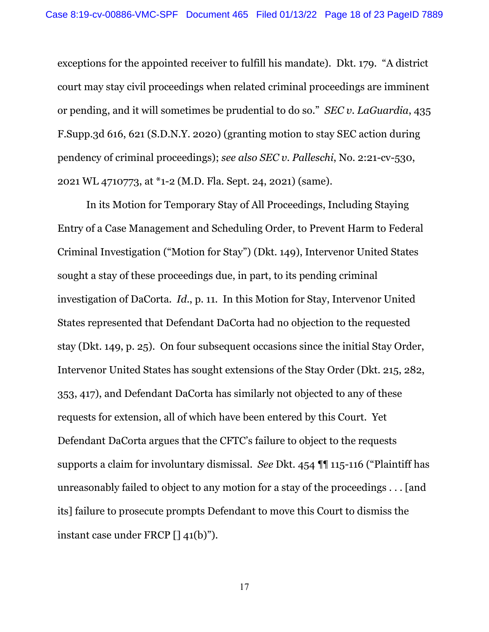exceptions for the appointed receiver to fulfill his mandate). Dkt. 179. "A district court may stay civil proceedings when related criminal proceedings are imminent or pending, and it will sometimes be prudential to do so." *SEC v. LaGuardia*, 435 F.Supp.3d 616, 621 (S.D.N.Y. 2020) (granting motion to stay SEC action during pendency of criminal proceedings); *see also SEC v. Palleschi*, No. 2:21-cv-530, 2021 WL 4710773, at \*1-2 (M.D. Fla. Sept. 24, 2021) (same).

In its Motion for Temporary Stay of All Proceedings, Including Staying Entry of a Case Management and Scheduling Order, to Prevent Harm to Federal Criminal Investigation ("Motion for Stay") (Dkt. 149), Intervenor United States sought a stay of these proceedings due, in part, to its pending criminal investigation of DaCorta. *Id*., p. 11. In this Motion for Stay, Intervenor United States represented that Defendant DaCorta had no objection to the requested stay (Dkt. 149, p. 25). On four subsequent occasions since the initial Stay Order, Intervenor United States has sought extensions of the Stay Order (Dkt. 215, 282, 353, 417), and Defendant DaCorta has similarly not objected to any of these requests for extension, all of which have been entered by this Court. Yet Defendant DaCorta argues that the CFTC's failure to object to the requests supports a claim for involuntary dismissal. *See* Dkt. 454 ¶¶ 115-116 ("Plaintiff has unreasonably failed to object to any motion for a stay of the proceedings . . . [and its] failure to prosecute prompts Defendant to move this Court to dismiss the instant case under FRCP [] 41(b)").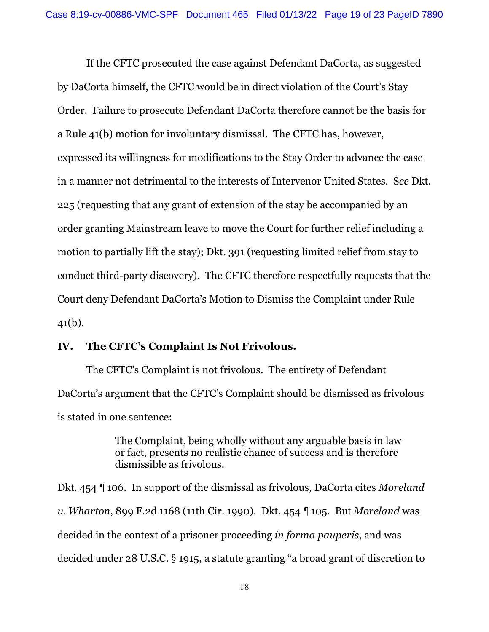If the CFTC prosecuted the case against Defendant DaCorta, as suggested by DaCorta himself, the CFTC would be in direct violation of the Court's Stay Order. Failure to prosecute Defendant DaCorta therefore cannot be the basis for a Rule 41(b) motion for involuntary dismissal. The CFTC has, however, expressed its willingness for modifications to the Stay Order to advance the case in a manner not detrimental to the interests of Intervenor United States. S*ee* Dkt. 225 (requesting that any grant of extension of the stay be accompanied by an order granting Mainstream leave to move the Court for further relief including a motion to partially lift the stay); Dkt. 391 (requesting limited relief from stay to conduct third-party discovery). The CFTC therefore respectfully requests that the Court deny Defendant DaCorta's Motion to Dismiss the Complaint under Rule 41(b).

#### **IV. The CFTC's Complaint Is Not Frivolous.**

The CFTC's Complaint is not frivolous. The entirety of Defendant DaCorta's argument that the CFTC's Complaint should be dismissed as frivolous is stated in one sentence:

> The Complaint, being wholly without any arguable basis in law or fact, presents no realistic chance of success and is therefore dismissible as frivolous.

Dkt. 454 ¶ 106. In support of the dismissal as frivolous, DaCorta cites *Moreland v. Wharton*, 899 F.2d 1168 (11th Cir. 1990). Dkt. 454 ¶ 105. But *Moreland* was decided in the context of a prisoner proceeding *in forma pauperis*, and was decided under 28 U.S.C. § 1915, a statute granting "a broad grant of discretion to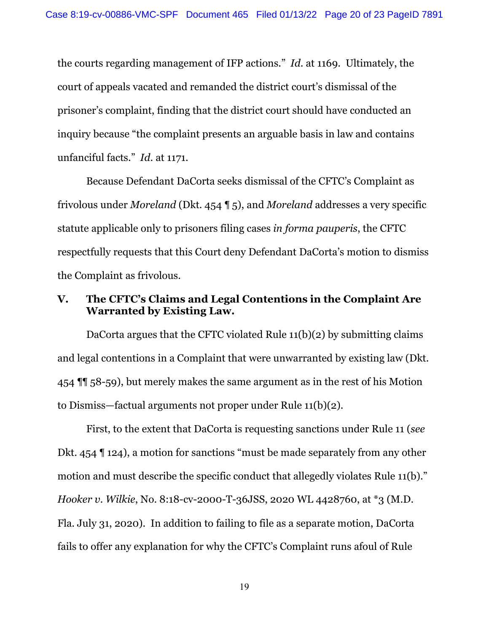the courts regarding management of IFP actions." *Id*. at 1169. Ultimately, the court of appeals vacated and remanded the district court's dismissal of the prisoner's complaint, finding that the district court should have conducted an inquiry because "the complaint presents an arguable basis in law and contains unfanciful facts." *Id*. at 1171.

Because Defendant DaCorta seeks dismissal of the CFTC's Complaint as frivolous under *Moreland* (Dkt. 454 ¶ 5), and *Moreland* addresses a very specific statute applicable only to prisoners filing cases *in forma pauperis*, the CFTC respectfully requests that this Court deny Defendant DaCorta's motion to dismiss the Complaint as frivolous.

### **V. The CFTC's Claims and Legal Contentions in the Complaint Are Warranted by Existing Law.**

DaCorta argues that the CFTC violated Rule  $11(b)(2)$  by submitting claims and legal contentions in a Complaint that were unwarranted by existing law (Dkt. 454 ¶¶ 58-59), but merely makes the same argument as in the rest of his Motion to Dismiss—factual arguments not proper under Rule 11(b)(2).

First, to the extent that DaCorta is requesting sanctions under Rule 11 (*see* Dkt. 454 ¶ 124), a motion for sanctions "must be made separately from any other motion and must describe the specific conduct that allegedly violates Rule 11(b)." *Hooker v. Wilkie*, No. 8:18-cv-2000-T-36JSS, 2020 WL 4428760, at \*3 (M.D. Fla. July 31, 2020). In addition to failing to file as a separate motion, DaCorta fails to offer any explanation for why the CFTC's Complaint runs afoul of Rule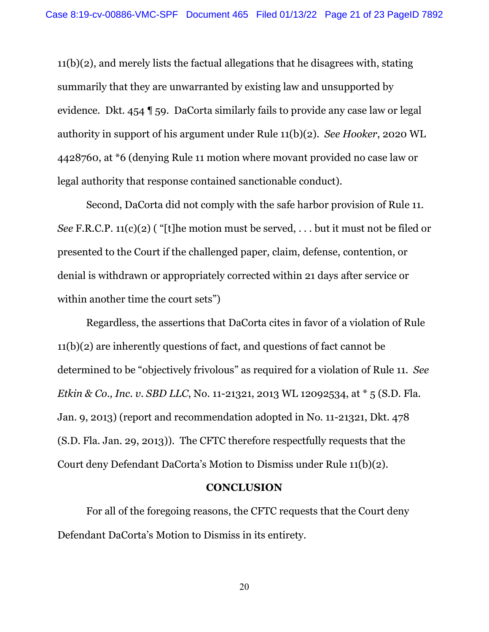11(b)(2), and merely lists the factual allegations that he disagrees with, stating summarily that they are unwarranted by existing law and unsupported by evidence. Dkt. 454 ¶ 59. DaCorta similarly fails to provide any case law or legal authority in support of his argument under Rule 11(b)(2). *See Hooker*, 2020 WL 4428760, at \*6 (denying Rule 11 motion where movant provided no case law or legal authority that response contained sanctionable conduct).

Second, DaCorta did not comply with the safe harbor provision of Rule 11. *See* F.R.C.P. 11(c)(2) ( "[t]he motion must be served, . . . but it must not be filed or presented to the Court if the challenged paper, claim, defense, contention, or denial is withdrawn or appropriately corrected within 21 days after service or within another time the court sets")

Regardless, the assertions that DaCorta cites in favor of a violation of Rule 11(b)(2) are inherently questions of fact, and questions of fact cannot be determined to be "objectively frivolous" as required for a violation of Rule 11. *See Etkin & Co., Inc. v. SBD LLC*, No. 11-21321, 2013 WL 12092534, at \* 5 (S.D. Fla. Jan. 9, 2013) (report and recommendation adopted in No. 11-21321, Dkt. 478 (S.D. Fla. Jan. 29, 2013)). The CFTC therefore respectfully requests that the Court deny Defendant DaCorta's Motion to Dismiss under Rule 11(b)(2).

#### **CONCLUSION**

For all of the foregoing reasons, the CFTC requests that the Court deny Defendant DaCorta's Motion to Dismiss in its entirety.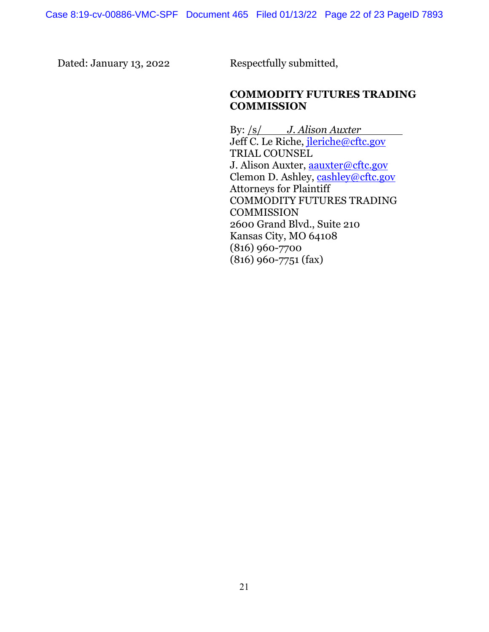Dated: January 13, 2022 Respectfully submitted,

## **COMMODITY FUTURES TRADING COMMISSION**

By: /s/ *J. Alison Auxter* Jeff C. Le Riche, [jleriche@cftc.gov](mailto:jleriche@cftc.gov) TRIAL COUNSEL J. Alison Auxter, aauxter@cftc.gov Clemon D. Ashley, [cashley@cftc.gov](mailto:cashley@cftc.gov) Attorneys for Plaintiff COMMODITY FUTURES TRADING **COMMISSION** 2600 Grand Blvd., Suite 210 Kansas City, MO 64108 (816) 960-7700 (816) 960-7751 (fax)